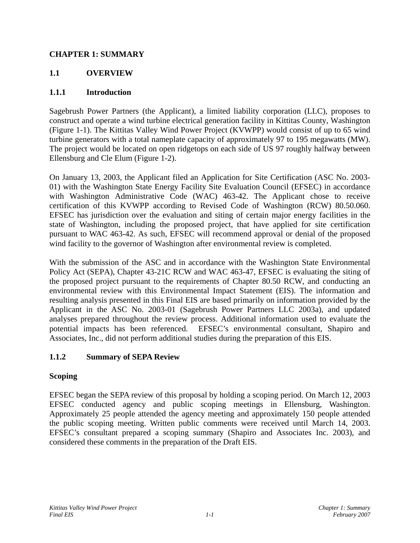### **CHAPTER 1: SUMMARY**

# **1.1 OVERVIEW**

#### **1.1.1 Introduction**

Sagebrush Power Partners (the Applicant), a limited liability corporation (LLC), proposes to construct and operate a wind turbine electrical generation facility in Kittitas County, Washington (Figure 1-1). The Kittitas Valley Wind Power Project (KVWPP) would consist of up to 65 wind turbine generators with a total nameplate capacity of approximately 97 to 195 megawatts (MW). The project would be located on open ridgetops on each side of US 97 roughly halfway between Ellensburg and Cle Elum (Figure 1-2).

On January 13, 2003, the Applicant filed an Application for Site Certification (ASC No. 2003- 01) with the Washington State Energy Facility Site Evaluation Council (EFSEC) in accordance with Washington Administrative Code (WAC) 463-42. The Applicant chose to receive certification of this KVWPP according to Revised Code of Washington (RCW) 80.50.060. EFSEC has jurisdiction over the evaluation and siting of certain major energy facilities in the state of Washington, including the proposed project, that have applied for site certification pursuant to WAC 463-42. As such, EFSEC will recommend approval or denial of the proposed wind facility to the governor of Washington after environmental review is completed.

With the submission of the ASC and in accordance with the Washington State Environmental Policy Act (SEPA), Chapter 43-21C RCW and WAC 463-47, EFSEC is evaluating the siting of the proposed project pursuant to the requirements of Chapter 80.50 RCW, and conducting an environmental review with this Environmental Impact Statement (EIS). The information and resulting analysis presented in this Final EIS are based primarily on information provided by the Applicant in the ASC No. 2003-01 (Sagebrush Power Partners LLC 2003a), and updated analyses prepared throughout the review process. Additional information used to evaluate the potential impacts has been referenced. EFSEC's environmental consultant, Shapiro and Associates, Inc., did not perform additional studies during the preparation of this EIS.

#### **1.1.2 Summary of SEPA Review**

#### **Scoping**

EFSEC began the SEPA review of this proposal by holding a scoping period. On March 12, 2003 EFSEC conducted agency and public scoping meetings in Ellensburg, Washington. Approximately 25 people attended the agency meeting and approximately 150 people attended the public scoping meeting. Written public comments were received until March 14, 2003. EFSEC's consultant prepared a scoping summary (Shapiro and Associates Inc. 2003), and considered these comments in the preparation of the Draft EIS.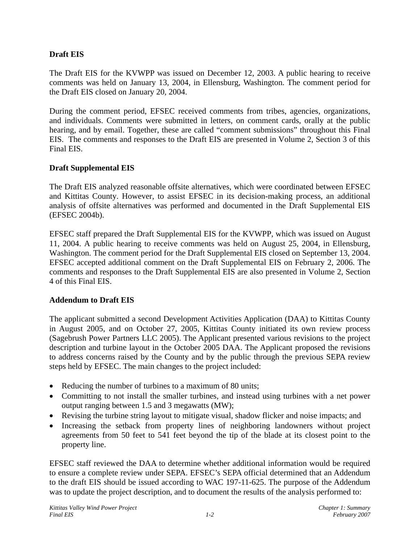## **Draft EIS**

The Draft EIS for the KVWPP was issued on December 12, 2003. A public hearing to receive comments was held on January 13, 2004, in Ellensburg, Washington. The comment period for the Draft EIS closed on January 20, 2004.

During the comment period, EFSEC received comments from tribes, agencies, organizations, and individuals. Comments were submitted in letters, on comment cards, orally at the public hearing, and by email. Together, these are called "comment submissions" throughout this Final EIS. The comments and responses to the Draft EIS are presented in Volume 2, Section 3 of this Final EIS.

#### **Draft Supplemental EIS**

The Draft EIS analyzed reasonable offsite alternatives, which were coordinated between EFSEC and Kittitas County. However, to assist EFSEC in its decision-making process, an additional analysis of offsite alternatives was performed and documented in the Draft Supplemental EIS (EFSEC 2004b).

EFSEC staff prepared the Draft Supplemental EIS for the KVWPP, which was issued on August 11, 2004. A public hearing to receive comments was held on August 25, 2004, in Ellensburg, Washington. The comment period for the Draft Supplemental EIS closed on September 13, 2004. EFSEC accepted additional comment on the Draft Supplemental EIS on February 2, 2006. The comments and responses to the Draft Supplemental EIS are also presented in Volume 2, Section 4 of this Final EIS.

#### **Addendum to Draft EIS**

The applicant submitted a second Development Activities Application (DAA) to Kittitas County in August 2005, and on October 27, 2005, Kittitas County initiated its own review process (Sagebrush Power Partners LLC 2005). The Applicant presented various revisions to the project description and turbine layout in the October 2005 DAA. The Applicant proposed the revisions to address concerns raised by the County and by the public through the previous SEPA review steps held by EFSEC. The main changes to the project included:

- Reducing the number of turbines to a maximum of 80 units;
- Committing to not install the smaller turbines, and instead using turbines with a net power output ranging between 1.5 and 3 megawatts (MW);
- Revising the turbine string layout to mitigate visual, shadow flicker and noise impacts; and
- Increasing the setback from property lines of neighboring landowners without project agreements from 50 feet to 541 feet beyond the tip of the blade at its closest point to the property line.

EFSEC staff reviewed the DAA to determine whether additional information would be required to ensure a complete review under SEPA. EFSEC's SEPA official determined that an Addendum to the draft EIS should be issued according to WAC 197-11-625. The purpose of the Addendum was to update the project description, and to document the results of the analysis performed to: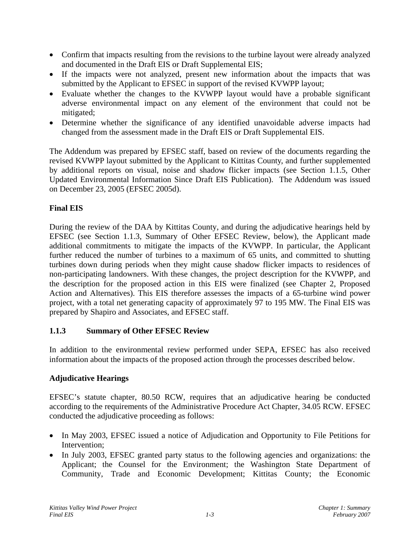- Confirm that impacts resulting from the revisions to the turbine layout were already analyzed and documented in the Draft EIS or Draft Supplemental EIS;
- If the impacts were not analyzed, present new information about the impacts that was submitted by the Applicant to EFSEC in support of the revised KVWPP layout;
- Evaluate whether the changes to the KVWPP layout would have a probable significant adverse environmental impact on any element of the environment that could not be mitigated;
- Determine whether the significance of any identified unavoidable adverse impacts had changed from the assessment made in the Draft EIS or Draft Supplemental EIS.

The Addendum was prepared by EFSEC staff, based on review of the documents regarding the revised KVWPP layout submitted by the Applicant to Kittitas County, and further supplemented by additional reports on visual, noise and shadow flicker impacts (see Section 1.1.5, Other Updated Environmental Information Since Draft EIS Publication). The Addendum was issued on December 23, 2005 (EFSEC 2005d).

# **Final EIS**

During the review of the DAA by Kittitas County, and during the adjudicative hearings held by EFSEC (see Section 1.1.3, Summary of Other EFSEC Review, below), the Applicant made additional commitments to mitigate the impacts of the KVWPP. In particular, the Applicant further reduced the number of turbines to a maximum of 65 units, and committed to shutting turbines down during periods when they might cause shadow flicker impacts to residences of non-participating landowners. With these changes, the project description for the KVWPP, and the description for the proposed action in this EIS were finalized (see Chapter 2, Proposed Action and Alternatives). This EIS therefore assesses the impacts of a 65-turbine wind power project, with a total net generating capacity of approximately 97 to 195 MW. The Final EIS was prepared by Shapiro and Associates, and EFSEC staff.

# **1.1.3 Summary of Other EFSEC Review**

In addition to the environmental review performed under SEPA, EFSEC has also received information about the impacts of the proposed action through the processes described below.

# **Adjudicative Hearings**

EFSEC's statute chapter, 80.50 RCW, requires that an adjudicative hearing be conducted according to the requirements of the Administrative Procedure Act Chapter, 34.05 RCW. EFSEC conducted the adjudicative proceeding as follows:

- In May 2003, EFSEC issued a notice of Adjudication and Opportunity to File Petitions for Intervention;
- In July 2003, EFSEC granted party status to the following agencies and organizations: the Applicant; the Counsel for the Environment; the Washington State Department of Community, Trade and Economic Development; Kittitas County; the Economic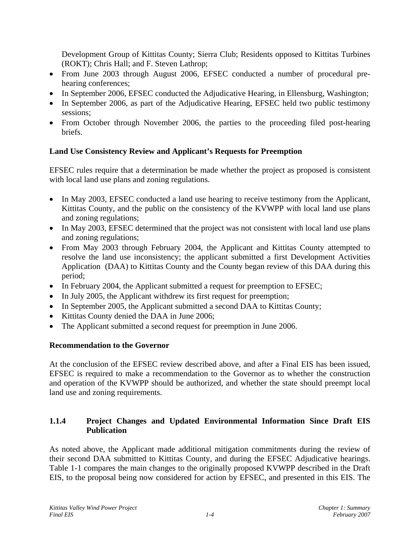Development Group of Kittitas County; Sierra Club; Residents opposed to Kittitas Turbines (ROKT); Chris Hall; and F. Steven Lathrop;

- From June 2003 through August 2006, EFSEC conducted a number of procedural prehearing conferences;
- In September 2006, EFSEC conducted the Adjudicative Hearing, in Ellensburg, Washington;
- In September 2006, as part of the Adjudicative Hearing, EFSEC held two public testimony sessions;
- From October through November 2006, the parties to the proceeding filed post-hearing briefs.

# **Land Use Consistency Review and Applicant's Requests for Preemption**

EFSEC rules require that a determination be made whether the project as proposed is consistent with local land use plans and zoning regulations.

- In May 2003, EFSEC conducted a land use hearing to receive testimony from the Applicant, Kittitas County, and the public on the consistency of the KVWPP with local land use plans and zoning regulations;
- In May 2003, EFSEC determined that the project was not consistent with local land use plans and zoning regulations;
- From May 2003 through February 2004, the Applicant and Kittitas County attempted to resolve the land use inconsistency; the applicant submitted a first Development Activities Application (DAA) to Kittitas County and the County began review of this DAA during this period;
- In February 2004, the Applicant submitted a request for preemption to EFSEC;
- In July 2005, the Applicant withdrew its first request for preemption;
- In September 2005, the Applicant submitted a second DAA to Kittitas County;
- Kittitas County denied the DAA in June 2006;
- The Applicant submitted a second request for preemption in June 2006.

# **Recommendation to the Governor**

At the conclusion of the EFSEC review described above, and after a Final EIS has been issued, EFSEC is required to make a recommendation to the Governor as to whether the construction and operation of the KVWPP should be authorized, and whether the state should preempt local land use and zoning requirements.

# **1.1.4 Project Changes and Updated Environmental Information Since Draft EIS Publication**

As noted above, the Applicant made additional mitigation commitments during the review of their second DAA submitted to Kittitas County, and during the EFSEC Adjudicative hearings. Table 1-1 compares the main changes to the originally proposed KVWPP described in the Draft EIS, to the proposal being now considered for action by EFSEC, and presented in this EIS. The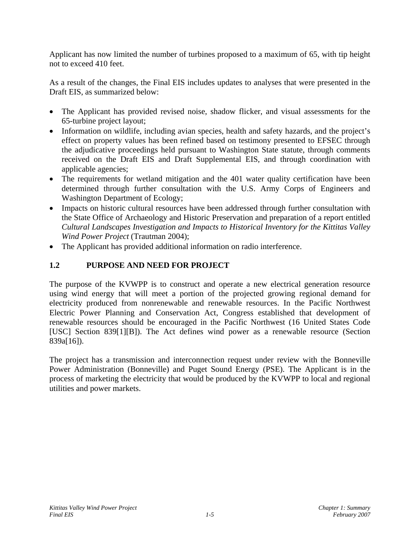Applicant has now limited the number of turbines proposed to a maximum of 65, with tip height not to exceed 410 feet.

As a result of the changes, the Final EIS includes updates to analyses that were presented in the Draft EIS, as summarized below:

- The Applicant has provided revised noise, shadow flicker, and visual assessments for the 65-turbine project layout;
- Information on wildlife, including avian species, health and safety hazards, and the project's effect on property values has been refined based on testimony presented to EFSEC through the adjudicative proceedings held pursuant to Washington State statute, through comments received on the Draft EIS and Draft Supplemental EIS, and through coordination with applicable agencies;
- The requirements for wetland mitigation and the 401 water quality certification have been determined through further consultation with the U.S. Army Corps of Engineers and Washington Department of Ecology;
- Impacts on historic cultural resources have been addressed through further consultation with the State Office of Archaeology and Historic Preservation and preparation of a report entitled *Cultural Landscapes Investigation and Impacts to Historical Inventory for the Kittitas Valley Wind Power Project* (Trautman 2004);
- The Applicant has provided additional information on radio interference.

# **1.2 PURPOSE AND NEED FOR PROJECT**

The purpose of the KVWPP is to construct and operate a new electrical generation resource using wind energy that will meet a portion of the projected growing regional demand for electricity produced from nonrenewable and renewable resources. In the Pacific Northwest Electric Power Planning and Conservation Act, Congress established that development of renewable resources should be encouraged in the Pacific Northwest (16 United States Code [USC] Section 839[1][B]). The Act defines wind power as a renewable resource (Section 839a[16]).

The project has a transmission and interconnection request under review with the Bonneville Power Administration (Bonneville) and Puget Sound Energy (PSE). The Applicant is in the process of marketing the electricity that would be produced by the KVWPP to local and regional utilities and power markets.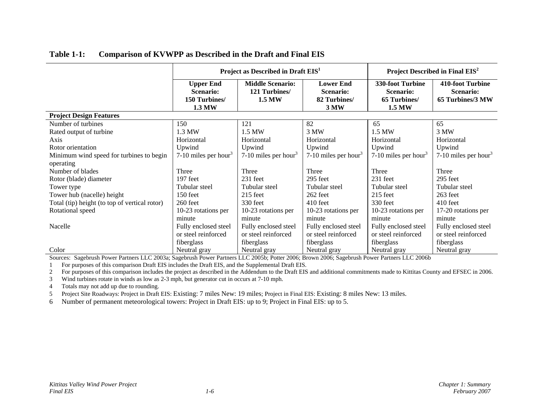|                                                       | Project as Described in Draft EIS <sup>1</sup>           |                                                          |                                                              | Project Described in Final EIS <sup>2</sup>             |                                                   |
|-------------------------------------------------------|----------------------------------------------------------|----------------------------------------------------------|--------------------------------------------------------------|---------------------------------------------------------|---------------------------------------------------|
|                                                       | <b>Upper End</b><br>Scenario:<br>150 Turbines/<br>1.3 MW | <b>Middle Scenario:</b><br>121 Turbines<br><b>1.5 MW</b> | <b>Lower End</b><br><b>Scenario:</b><br>82 Turbines/<br>3 MW | 330-foot Turbine<br>Scenario:<br>65 Turbines/<br>1.5 MW | 410-foot Turbine<br>Scenario:<br>65 Turbines/3 MW |
| <b>Project Design Features</b>                        |                                                          |                                                          |                                                              |                                                         |                                                   |
| Number of turbines<br>Rated output of turbine<br>Axis | 150<br>1.3 MW<br>Horizontal                              | 121<br>1.5 MW<br>Horizontal                              | 82<br>3 MW<br>Horizontal                                     | 65<br>1.5 MW<br>Horizontal                              | 65<br>3 MW<br>Horizontal                          |
| Rotor orientation                                     | Upwind                                                   | Upwind                                                   | Upwind                                                       | Upwind                                                  | Upwind                                            |
| Minimum wind speed for turbines to begin<br>operating | 7-10 miles per hour <sup>3</sup>                         | 7-10 miles per hour <sup>3</sup>                         | 7-10 miles per hour <sup>3</sup>                             | 7-10 miles per hour <sup>3</sup>                        | 7-10 miles per hour <sup>3</sup>                  |
| Number of blades                                      | Three                                                    | Three                                                    | Three                                                        | Three                                                   | Three                                             |
| Rotor (blade) diameter                                | 197 feet                                                 | 231 feet                                                 | 295 feet                                                     | 231 feet                                                | 295 feet                                          |
| Tower type                                            | Tubular steel                                            | Tubular steel                                            | Tubular steel                                                | Tubular steel                                           | Tubular steel                                     |
| Tower hub (nacelle) height                            | 150 feet                                                 | $215$ feet                                               | 262 feet                                                     | $215$ feet                                              | 263 feet                                          |
| Total (tip) height (to top of vertical rotor)         | 260 feet                                                 | 330 feet                                                 | $410$ feet                                                   | 330 feet                                                | 410 feet                                          |
| Rotational speed                                      | 10-23 rotations per                                      | 10-23 rotations per                                      | 10-23 rotations per                                          | 10-23 rotations per                                     | 17-20 rotations per                               |
|                                                       | minute                                                   | minute                                                   | minute                                                       | minute                                                  | minute                                            |
| Nacelle                                               | Fully enclosed steel                                     | Fully enclosed steel                                     | Fully enclosed steel                                         | Fully enclosed steel                                    | Fully enclosed steel                              |
|                                                       | or steel reinforced                                      | or steel reinforced                                      | or steel reinforced                                          | or steel reinforced                                     | or steel reinforced                               |
|                                                       | fiberglass                                               | fiberglass                                               | fiberglass                                                   | fiberglass                                              | fiberglass                                        |
| Color                                                 | Neutral gray                                             | Neutral gray                                             | Neutral gray                                                 | Neutral gray                                            | Neutral gray                                      |

#### **Table 1-1: Comparison of KVWPP as Described in the Draft and Final EIS**

Sources: Sagebrush Power Partners LLC 2003a; Sagebrush Power Partners LLC 2005b; Potter 2006; Brown 2006; Sagebrush Power Partners LLC 2006b

1 For purposes of this comparison Draft EIS includes the Draft EIS, and the Supplemental Draft EIS.

2 For purposes of this comparison includes the project as described in the Addendum to the Draft EIS and additional commitments made to Kittitas County and EFSEC in 2006.

3Wind turbines rotate in winds as low as 2-3 mph, but generator cut in occurs at 7-10 mph.

4 Totals may not add up due to rounding.

5 Project Site Roadways: Project in Draft EIS: Existing: 7 miles New: 19 miles; Project in Final EIS: Existing: 8 miles New: 13 miles.

6 Number of permanent meteorological towers: Project in Draft EIS: up to 9; Project in Final EIS: up to 5.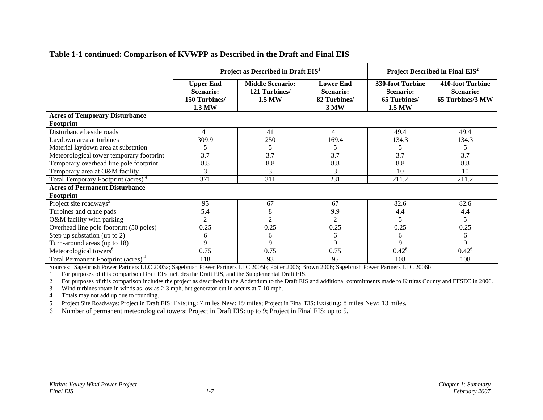|                                                | Project as Described in Draft EIS <sup>1</sup>                  |                                                    |                                                              | Project Described in Final EIS <sup>2</sup>                    |                                                          |  |
|------------------------------------------------|-----------------------------------------------------------------|----------------------------------------------------|--------------------------------------------------------------|----------------------------------------------------------------|----------------------------------------------------------|--|
|                                                | <b>Upper End</b><br><b>Scenario:</b><br>150 Turbines/<br>1.3 MW | <b>Middle Scenario:</b><br>121 Turbines/<br>1.5 MW | <b>Lower End</b><br><b>Scenario:</b><br>82 Turbines/<br>3 MW | 330-foot Turbine<br><b>Scenario:</b><br>65 Turbines/<br>1.5 MW | 410-foot Turbine<br><b>Scenario:</b><br>65 Turbines/3 MW |  |
| <b>Acres of Temporary Disturbance</b>          |                                                                 |                                                    |                                                              |                                                                |                                                          |  |
| Footprint                                      |                                                                 |                                                    |                                                              |                                                                |                                                          |  |
| Disturbance beside roads                       | 41                                                              | 41                                                 | 41                                                           | 49.4                                                           | 49.4                                                     |  |
| Laydown area at turbines                       | 309.9                                                           | 250                                                | 169.4                                                        | 134.3                                                          | 134.3                                                    |  |
| Material laydown area at substation            | 5                                                               | 5                                                  | 5                                                            | 5                                                              | 5                                                        |  |
| Meteorological tower temporary footprint       | 3.7                                                             | 3.7                                                | 3.7                                                          | 3.7                                                            | 3.7                                                      |  |
| Temporary overhead line pole footprint         | 8.8                                                             | 8.8                                                | 8.8                                                          | 8.8                                                            | 8.8                                                      |  |
| Temporary area at O&M facility                 | 3                                                               | 3                                                  | 3                                                            | 10                                                             | 10                                                       |  |
| Total Temporary Footprint (acres) <sup>4</sup> | 371                                                             | 311                                                | 231                                                          | 211.2                                                          | 211.2                                                    |  |
| <b>Acres of Permanent Disturbance</b>          |                                                                 |                                                    |                                                              |                                                                |                                                          |  |
| Footprint                                      |                                                                 |                                                    |                                                              |                                                                |                                                          |  |
| Project site roadways <sup>5</sup>             | 95                                                              | 67                                                 | 67                                                           | 82.6                                                           | 82.6                                                     |  |
| Turbines and crane pads                        | 5.4                                                             | 8                                                  | 9.9                                                          | 4.4                                                            | 4.4                                                      |  |
| O&M facility with parking                      | $\overline{2}$                                                  | $\overline{2}$                                     | 2                                                            | 5                                                              | 5                                                        |  |
| Overhead line pole footprint (50 poles)        | 0.25                                                            | 0.25                                               | 0.25                                                         | 0.25                                                           | 0.25                                                     |  |
| Step up substation (up to 2)                   | 6                                                               | 6                                                  | 6                                                            | 6                                                              | 6                                                        |  |
| Turn-around areas (up to 18)                   | 9                                                               | 9                                                  | 9                                                            | 9                                                              | 9                                                        |  |
| Meteorological towers <sup>6</sup>             | 0.75                                                            | 0.75                                               | 0.75                                                         | $0.42^6$                                                       | $0.42^6$                                                 |  |
| Total Permanent Footprint (acres) <sup>4</sup> | 118                                                             | 93                                                 | 95                                                           | 108                                                            | 108                                                      |  |

#### **Table 1-1 continued: Comparison of KVWPP as Described in the Draft and Final EIS**

Sources: Sagebrush Power Partners LLC 2003a; Sagebrush Power Partners LLC 2005b; Potter 2006; Brown 2006; Sagebrush Power Partners LLC 2006b

1 For purposes of this comparison Draft EIS includes the Draft EIS, and the Supplemental Draft EIS.

<sup>2</sup> For purposes of this comparison includes the project as described in the Addendum to the Draft EIS and additional commitments made to Kittitas County and EFSEC in 2006.

3Wind turbines rotate in winds as low as 2-3 mph, but generator cut in occurs at 7-10 mph.

4 Totals may not add up due to rounding.

5 Project Site Roadways: Project in Draft EIS: Existing: 7 miles New: 19 miles; Project in Final EIS: Existing: 8 miles New: 13 miles.

6 Number of permanent meteorological towers: Project in Draft EIS: up to 9; Project in Final EIS: up to 5.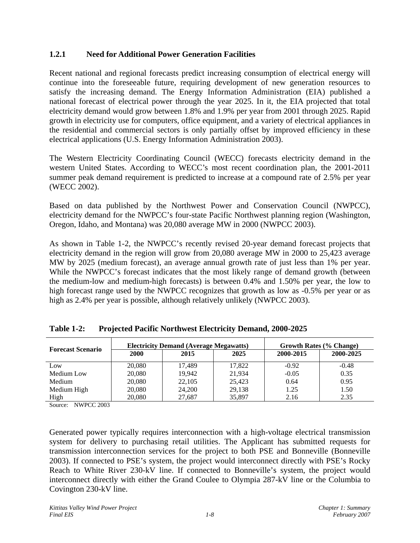### **1.2.1 Need for Additional Power Generation Facilities**

Recent national and regional forecasts predict increasing consumption of electrical energy will continue into the foreseeable future, requiring development of new generation resources to satisfy the increasing demand. The Energy Information Administration (EIA) published a national forecast of electrical power through the year 2025. In it, the EIA projected that total electricity demand would grow between 1.8% and 1.9% per year from 2001 through 2025. Rapid growth in electricity use for computers, office equipment, and a variety of electrical appliances in the residential and commercial sectors is only partially offset by improved efficiency in these electrical applications (U.S. Energy Information Administration 2003).

The Western Electricity Coordinating Council (WECC) forecasts electricity demand in the western United States. According to WECC's most recent coordination plan, the 2001-2011 summer peak demand requirement is predicted to increase at a compound rate of 2.5% per year (WECC 2002).

Based on data published by the Northwest Power and Conservation Council (NWPCC), electricity demand for the NWPCC's four-state Pacific Northwest planning region (Washington, Oregon, Idaho, and Montana) was 20,080 average MW in 2000 (NWPCC 2003).

As shown in Table 1-2, the NWPCC's recently revised 20-year demand forecast projects that electricity demand in the region will grow from 20,080 average MW in 2000 to 25,423 average MW by 2025 (medium forecast), an average annual growth rate of just less than 1% per year. While the NWPCC's forecast indicates that the most likely range of demand growth (between the medium-low and medium-high forecasts) is between 0.4% and 1.50% per year, the low to high forecast range used by the NWPCC recognizes that growth as low as -0.5% per year or as high as 2.4% per year is possible, although relatively unlikely (NWPCC 2003).

| <b>Forecast Scenario</b> | <b>Electricity Demand (Average Megawatts)</b> |        |        | <b>Growth Rates (% Change)</b> |           |
|--------------------------|-----------------------------------------------|--------|--------|--------------------------------|-----------|
|                          | <b>2000</b>                                   | 2015   | 2025   | 2000-2015                      | 2000-2025 |
| Low                      | 20,080                                        | 17,489 | 17,822 | $-0.92$                        | $-0.48$   |
| Medium Low               | 20,080                                        | 19.942 | 21,934 | $-0.05$                        | 0.35      |
| Medium                   | 20,080                                        | 22,105 | 25.423 | 0.64                           | 0.95      |
| Medium High              | 20,080                                        | 24,200 | 29,138 | 1.25                           | 1.50      |
| High                     | 20,080                                        | 27,687 | 35,897 | 2.16                           | 2.35      |

**Table 1-2: Projected Pacific Northwest Electricity Demand, 2000-2025** 

Source: NWPCC 2003

Generated power typically requires interconnection with a high-voltage electrical transmission system for delivery to purchasing retail utilities. The Applicant has submitted requests for transmission interconnection services for the project to both PSE and Bonneville (Bonneville 2003). If connected to PSE's system, the project would interconnect directly with PSE's Rocky Reach to White River 230-kV line. If connected to Bonneville's system, the project would interconnect directly with either the Grand Coulee to Olympia 287-kV line or the Columbia to Covington 230-kV line.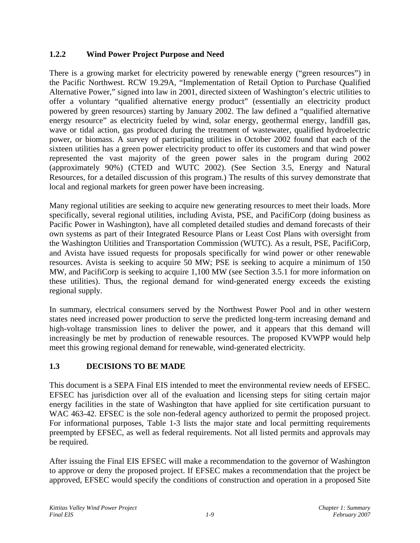# **1.2.2 Wind Power Project Purpose and Need**

There is a growing market for electricity powered by renewable energy ("green resources") in the Pacific Northwest. RCW 19.29A, "Implementation of Retail Option to Purchase Qualified Alternative Power," signed into law in 2001, directed sixteen of Washington's electric utilities to offer a voluntary "qualified alternative energy product" (essentially an electricity product powered by green resources) starting by January 2002. The law defined a "qualified alternative energy resource" as electricity fueled by wind, solar energy, geothermal energy, landfill gas, wave or tidal action, gas produced during the treatment of wastewater, qualified hydroelectric power, or biomass. A survey of participating utilities in October 2002 found that each of the sixteen utilities has a green power electricity product to offer its customers and that wind power represented the vast majority of the green power sales in the program during 2002 (approximately 90%) (CTED and WUTC 2002). (See Section 3.5, Energy and Natural Resources, for a detailed discussion of this program.) The results of this survey demonstrate that local and regional markets for green power have been increasing.

Many regional utilities are seeking to acquire new generating resources to meet their loads. More specifically, several regional utilities, including Avista, PSE, and PacifiCorp (doing business as Pacific Power in Washington), have all completed detailed studies and demand forecasts of their own systems as part of their Integrated Resource Plans or Least Cost Plans with oversight from the Washington Utilities and Transportation Commission (WUTC). As a result, PSE, PacifiCorp, and Avista have issued requests for proposals specifically for wind power or other renewable resources. Avista is seeking to acquire 50 MW; PSE is seeking to acquire a minimum of 150 MW, and PacifiCorp is seeking to acquire 1,100 MW (see Section 3.5.1 for more information on these utilities). Thus, the regional demand for wind-generated energy exceeds the existing regional supply.

In summary, electrical consumers served by the Northwest Power Pool and in other western states need increased power production to serve the predicted long-term increasing demand and high-voltage transmission lines to deliver the power, and it appears that this demand will increasingly be met by production of renewable resources. The proposed KVWPP would help meet this growing regional demand for renewable, wind-generated electricity.

# **1.3 DECISIONS TO BE MADE**

This document is a SEPA Final EIS intended to meet the environmental review needs of EFSEC. EFSEC has jurisdiction over all of the evaluation and licensing steps for siting certain major energy facilities in the state of Washington that have applied for site certification pursuant to WAC 463-42. EFSEC is the sole non-federal agency authorized to permit the proposed project. For informational purposes, Table 1-3 lists the major state and local permitting requirements preempted by EFSEC, as well as federal requirements. Not all listed permits and approvals may be required.

After issuing the Final EIS EFSEC will make a recommendation to the governor of Washington to approve or deny the proposed project. If EFSEC makes a recommendation that the project be approved, EFSEC would specify the conditions of construction and operation in a proposed Site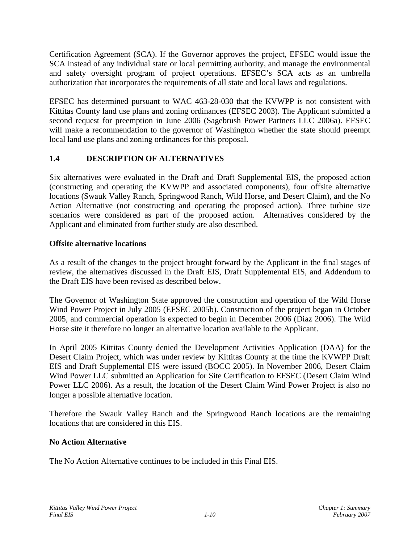Certification Agreement (SCA). If the Governor approves the project, EFSEC would issue the SCA instead of any individual state or local permitting authority, and manage the environmental and safety oversight program of project operations. EFSEC's SCA acts as an umbrella authorization that incorporates the requirements of all state and local laws and regulations.

EFSEC has determined pursuant to WAC 463-28-030 that the KVWPP is not consistent with Kittitas County land use plans and zoning ordinances (EFSEC 2003). The Applicant submitted a second request for preemption in June 2006 (Sagebrush Power Partners LLC 2006a). EFSEC will make a recommendation to the governor of Washington whether the state should preempt local land use plans and zoning ordinances for this proposal.

# **1.4 DESCRIPTION OF ALTERNATIVES**

Six alternatives were evaluated in the Draft and Draft Supplemental EIS, the proposed action (constructing and operating the KVWPP and associated components), four offsite alternative locations (Swauk Valley Ranch, Springwood Ranch, Wild Horse, and Desert Claim), and the No Action Alternative (not constructing and operating the proposed action). Three turbine size scenarios were considered as part of the proposed action. Alternatives considered by the Applicant and eliminated from further study are also described.

#### **Offsite alternative locations**

As a result of the changes to the project brought forward by the Applicant in the final stages of review, the alternatives discussed in the Draft EIS, Draft Supplemental EIS, and Addendum to the Draft EIS have been revised as described below.

The Governor of Washington State approved the construction and operation of the Wild Horse Wind Power Project in July 2005 (EFSEC 2005b). Construction of the project began in October 2005, and commercial operation is expected to begin in December 2006 (Diaz 2006). The Wild Horse site it therefore no longer an alternative location available to the Applicant.

In April 2005 Kittitas County denied the Development Activities Application (DAA) for the Desert Claim Project, which was under review by Kittitas County at the time the KVWPP Draft EIS and Draft Supplemental EIS were issued (BOCC 2005). In November 2006, Desert Claim Wind Power LLC submitted an Application for Site Certification to EFSEC (Desert Claim Wind Power LLC 2006). As a result, the location of the Desert Claim Wind Power Project is also no longer a possible alternative location.

Therefore the Swauk Valley Ranch and the Springwood Ranch locations are the remaining locations that are considered in this EIS.

#### **No Action Alternative**

The No Action Alternative continues to be included in this Final EIS.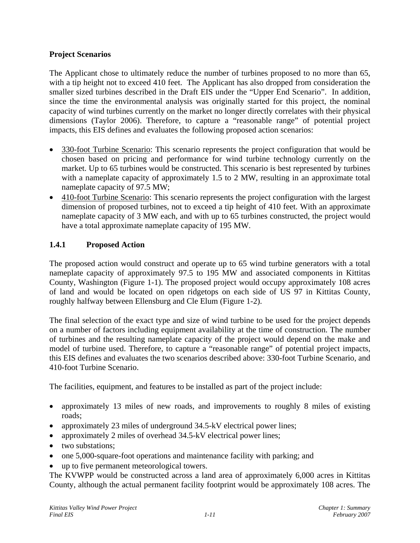### **Project Scenarios**

The Applicant chose to ultimately reduce the number of turbines proposed to no more than 65, with a tip height not to exceed 410 feet. The Applicant has also dropped from consideration the smaller sized turbines described in the Draft EIS under the "Upper End Scenario". In addition, since the time the environmental analysis was originally started for this project, the nominal capacity of wind turbines currently on the market no longer directly correlates with their physical dimensions (Taylor 2006). Therefore, to capture a "reasonable range" of potential project impacts, this EIS defines and evaluates the following proposed action scenarios:

- 330-foot Turbine Scenario: This scenario represents the project configuration that would be chosen based on pricing and performance for wind turbine technology currently on the market. Up to 65 turbines would be constructed. This scenario is best represented by turbines with a nameplate capacity of approximately 1.5 to 2 MW, resulting in an approximate total nameplate capacity of 97.5 MW;
- 410-foot Turbine Scenario: This scenario represents the project configuration with the largest dimension of proposed turbines, not to exceed a tip height of 410 feet. With an approximate nameplate capacity of 3 MW each, and with up to 65 turbines constructed, the project would have a total approximate nameplate capacity of 195 MW.

# **1.4.1 Proposed Action**

The proposed action would construct and operate up to 65 wind turbine generators with a total nameplate capacity of approximately 97.5 to 195 MW and associated components in Kittitas County, Washington (Figure 1-1). The proposed project would occupy approximately 108 acres of land and would be located on open ridgetops on each side of US 97 in Kittitas County, roughly halfway between Ellensburg and Cle Elum (Figure 1-2).

The final selection of the exact type and size of wind turbine to be used for the project depends on a number of factors including equipment availability at the time of construction. The number of turbines and the resulting nameplate capacity of the project would depend on the make and model of turbine used. Therefore, to capture a "reasonable range" of potential project impacts, this EIS defines and evaluates the two scenarios described above: 330-foot Turbine Scenario, and 410-foot Turbine Scenario.

The facilities, equipment, and features to be installed as part of the project include:

- approximately 13 miles of new roads, and improvements to roughly 8 miles of existing roads;
- approximately 23 miles of underground 34.5-kV electrical power lines;
- approximately 2 miles of overhead 34.5-kV electrical power lines;
- two substations:
- one 5,000-square-foot operations and maintenance facility with parking; and
- up to five permanent meteorological towers.

The KVWPP would be constructed across a land area of approximately 6,000 acres in Kittitas County, although the actual permanent facility footprint would be approximately 108 acres. The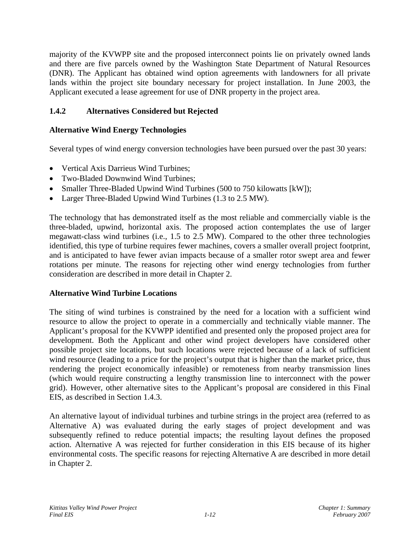majority of the KVWPP site and the proposed interconnect points lie on privately owned lands and there are five parcels owned by the Washington State Department of Natural Resources (DNR). The Applicant has obtained wind option agreements with landowners for all private lands within the project site boundary necessary for project installation. In June 2003, the Applicant executed a lease agreement for use of DNR property in the project area.

# **1.4.2 Alternatives Considered but Rejected**

# **Alternative Wind Energy Technologies**

Several types of wind energy conversion technologies have been pursued over the past 30 years:

- Vertical Axis Darrieus Wind Turbines;
- Two-Bladed Downwind Wind Turbines:
- Smaller Three-Bladed Upwind Wind Turbines (500 to 750 kilowatts [kW]);
- Larger Three-Bladed Upwind Wind Turbines (1.3 to 2.5 MW).

The technology that has demonstrated itself as the most reliable and commercially viable is the three-bladed, upwind, horizontal axis. The proposed action contemplates the use of larger megawatt-class wind turbines (i.e., 1.5 to 2.5 MW). Compared to the other three technologies identified, this type of turbine requires fewer machines, covers a smaller overall project footprint, and is anticipated to have fewer avian impacts because of a smaller rotor swept area and fewer rotations per minute. The reasons for rejecting other wind energy technologies from further consideration are described in more detail in Chapter 2.

# **Alternative Wind Turbine Locations**

The siting of wind turbines is constrained by the need for a location with a sufficient wind resource to allow the project to operate in a commercially and technically viable manner. The Applicant's proposal for the KVWPP identified and presented only the proposed project area for development. Both the Applicant and other wind project developers have considered other possible project site locations, but such locations were rejected because of a lack of sufficient wind resource (leading to a price for the project's output that is higher than the market price, thus rendering the project economically infeasible) or remoteness from nearby transmission lines (which would require constructing a lengthy transmission line to interconnect with the power grid). However, other alternative sites to the Applicant's proposal are considered in this Final EIS, as described in Section 1.4.3.

An alternative layout of individual turbines and turbine strings in the project area (referred to as Alternative A) was evaluated during the early stages of project development and was subsequently refined to reduce potential impacts; the resulting layout defines the proposed action. Alternative A was rejected for further consideration in this EIS because of its higher environmental costs. The specific reasons for rejecting Alternative A are described in more detail in Chapter 2.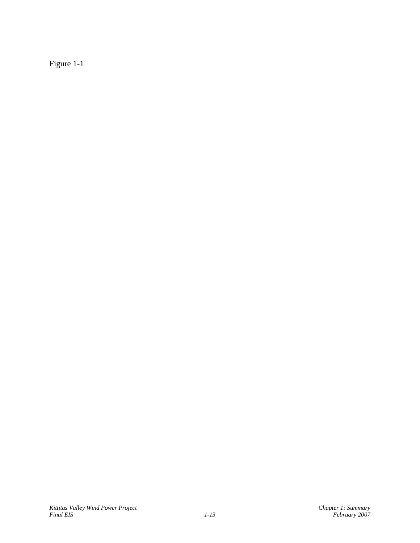Figure 1-1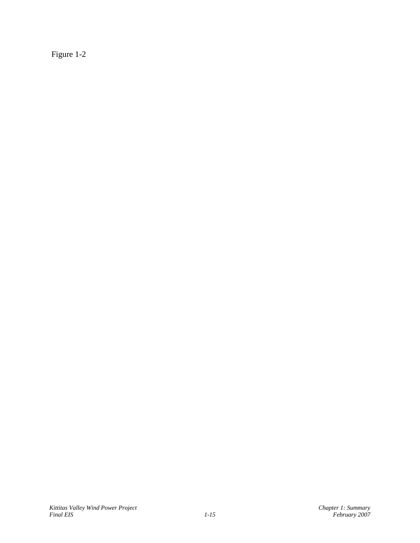Figure 1-2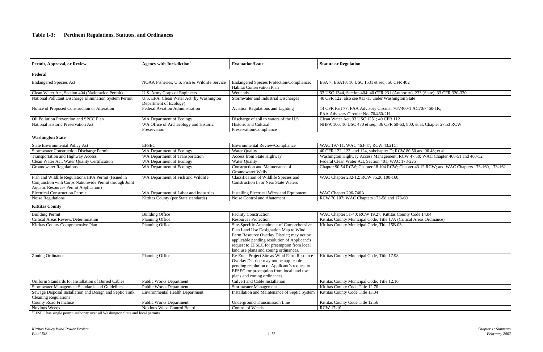## **Table 1-3: Pertinent Regulations, Statutes, and Ordinances**

| Permit, Approval, or Review                                                                                                                                   | Agency with Jurisdiction <sup>1</sup>                              | <b>Evaluation/Issue</b>                                                                                                                                                                                                                                                | <b>Statute or Regulation</b>                                                                     |
|---------------------------------------------------------------------------------------------------------------------------------------------------------------|--------------------------------------------------------------------|------------------------------------------------------------------------------------------------------------------------------------------------------------------------------------------------------------------------------------------------------------------------|--------------------------------------------------------------------------------------------------|
| Federal                                                                                                                                                       |                                                                    |                                                                                                                                                                                                                                                                        |                                                                                                  |
| <b>Endangered Species Act</b>                                                                                                                                 | NOAA Fisheries, U.S. Fish & Wildlife Service                       | Endangered Species Protection/Compliance;<br>Habitat Conservation Plan                                                                                                                                                                                                 | ESA 7; ESA10; 16 USC 1531 et seq.; 50 CFR 402                                                    |
| Clean Water Act, Section 404 (Nationwide Permit)                                                                                                              | U.S. Army Corps of Engineers                                       | Wetlands                                                                                                                                                                                                                                                               | 33 USC 1344, Section 404; 40 CFR 231 (Authority), 233 (State                                     |
| National Pollutant Discharge Elimination System Permit                                                                                                        | U.S. EPA, Clean Water Act (by Washington<br>Department of Ecology) | Stormwater and Industrial Discharges                                                                                                                                                                                                                                   | 40 CFR 122; also see #13-15 under Washington State                                               |
| Notice of Proposed Construction or Alteration                                                                                                                 | Federal Aviation Administration                                    | Aviation Regulations and Lighting                                                                                                                                                                                                                                      | 14 CFR Part 77; FAA Advisory Circular 70/7460-1 AC70/7460<br>FAA Advisory Circular No, 70/460-2H |
| Oil Pollution Prevention and SPCC Plan                                                                                                                        | WA Department of Ecology                                           | Discharge of soil to waters of the U.S.                                                                                                                                                                                                                                | Clean Water Act, 33 USC 1251; 40 CFR 112                                                         |
| National Historic Preservation Act                                                                                                                            | WA Office of Archaeology and Historic<br>Preservation              | Historic and Cultural<br>Preservation/Compliance                                                                                                                                                                                                                       | NHPA 106; 16 USC 470 et seq.; 36 CFR 60-63, 800; et al. Cha                                      |
| <b>Washington State</b>                                                                                                                                       |                                                                    |                                                                                                                                                                                                                                                                        |                                                                                                  |
| State Environmental Policy Act                                                                                                                                | <b>EFSEC</b>                                                       | Environmental Review/Compliance                                                                                                                                                                                                                                        | WAC 197-11, WAC 463-47; RCW 43.21C.                                                              |
| <b>Stormwater Construction Discharge Permit</b>                                                                                                               | WA Department of Ecology                                           | <b>Water Quality</b>                                                                                                                                                                                                                                                   | 40 CFR 122, 123, and 124, subchapter D; RCW 80.50 and 90.4                                       |
| <b>Transportation and Highway Access</b>                                                                                                                      | WA Department of Transportation                                    | Access from State Highway                                                                                                                                                                                                                                              | Washington Highway Access Management, RCW 47.50; WAC                                             |
| Clean Water Act, Water Quality Certification                                                                                                                  | WA Department of Ecology                                           | <b>Water Quality</b>                                                                                                                                                                                                                                                   | Federal Clean Water Act, Section 401; WAC 173-225                                                |
| <b>Groundwater Regulations</b>                                                                                                                                | WA Department of Ecology                                           | Construction and Maintenance of<br>Groundwater Wells                                                                                                                                                                                                                   | Chapter 90.54 RCW; Chapter 18.104 RCW; Chapter 43.12 RC                                          |
| Fish and Wildlife Regulations/HPA Permit (Issued in<br>Conjunction with Corps Nationwide Permit through Joint<br><b>Aquatic Resources Permit Application)</b> | WA Department of Fish and Wildlife                                 | Classification of Wildlife Species and<br><b>Construction In or Near State Waters</b>                                                                                                                                                                                  | WAC Chapter 232-12; RCW 75.20.100-160                                                            |
| <b>Electrical Construction Permit</b>                                                                                                                         | WA Department of Labor and Industries                              | Installing Electrical Wires and Equipment                                                                                                                                                                                                                              | WAC Chapter 296-746A                                                                             |
| Noise Regulations                                                                                                                                             | Kittitas County (per State standards)                              | Noise Control and Abatement                                                                                                                                                                                                                                            | RCW 70.107; WAC Chapters 173-58 and 173-60                                                       |
| <b>Kittitas County</b>                                                                                                                                        |                                                                    |                                                                                                                                                                                                                                                                        |                                                                                                  |
| <b>Building Permit</b>                                                                                                                                        | <b>Building Office</b>                                             | <b>Facility Construction</b>                                                                                                                                                                                                                                           | WAC Chapter 51-40; RCW 19.27; Kittitas County Code 14.04                                         |
| Critical Areas Review/Determination                                                                                                                           | Planning Office                                                    | <b>Resources Protection</b>                                                                                                                                                                                                                                            | Kittitas County Municipal Code, Title 17A (Critical Areas Ordi                                   |
| Kittitas County Comprehensive Plan                                                                                                                            | Planning Office                                                    | Site-Specific Amendment of Comprehensive<br>Plan Land Use Designation Map to Wind<br>Farm Resource Overlay District; may not be<br>applicable pending resolution of Applicant's<br>request to EFSEC for preemption from local<br>land use plans and zoning ordinances. | Kittitas County Municipal Code, Title 15B.03                                                     |
| Zoning Ordinance                                                                                                                                              | Planning Office                                                    | Re-Zone Project Site as Wind Farm Resource<br>Overlay District; may not be applicable<br>pending resolution of Applicant's request to<br>EFSEC for preemption from local land use<br>plans and zoning ordinances.                                                      | Kittitas County Municipal Code, Title 17.98                                                      |
| Uniform Standards for Installation of Buried Cables                                                                                                           | <b>Public Works Department</b>                                     | <b>Culvert and Cable Installation</b>                                                                                                                                                                                                                                  | Kittitas County Municipal Code, Title 12.16                                                      |
| Stormwater Management Standards and Guidelines                                                                                                                | <b>Public Works Department</b>                                     | Stormwater Management                                                                                                                                                                                                                                                  | Kittitas County Code Title 12.70                                                                 |
| Sewage Disposal Installation and Design and Septic Tank<br><b>Cleaning Regulations</b>                                                                        | <b>Environmental Health Department</b>                             | Installation and Maintenance of Septic System                                                                                                                                                                                                                          | Kittitas County Code Title 13.04                                                                 |
| County Road Franchise                                                                                                                                         | <b>Public Works Department</b>                                     | <b>Underground Transmission Line</b>                                                                                                                                                                                                                                   | Kittitas County Code Title 12.56                                                                 |
| Noxious Weeds                                                                                                                                                 | Noxious Weed Control Board                                         | Control of Weeds                                                                                                                                                                                                                                                       | <b>RCW 17-10</b>                                                                                 |

<sup>1</sup>EFSEC has single permit authority over all Washington State and local permits.

#### FR 402

Elean Water Action 204 (Nation 33 USER 320-330) U.S. Army Corps of State); 33 UFR 320-330

 $N/7460 - 1$  AC70/7460-1K;

0-63, 800; et al. Chapter 27.53 RCW

 $\overline{\text{CW } 80.50}$  and 90.48; et al.

 $T_{\text{RCW 47.50; WAC Chapter 468-51 and 468-52}}$ <br>C 173-225

Chapter 43.12 RCW; and WAC Chapters 173-160, 173-162

(Critical Areas Ordinance)<br>03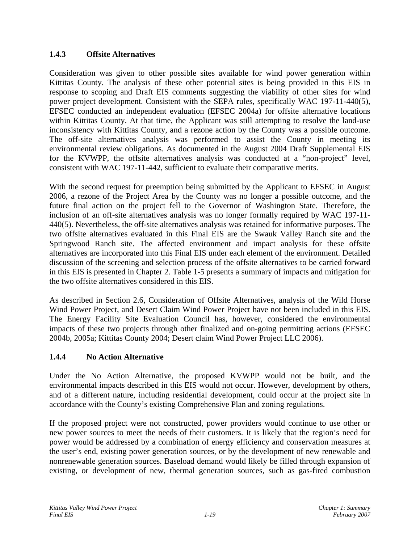# **1.4.3 Offsite Alternatives**

Consideration was given to other possible sites available for wind power generation within Kittitas County. The analysis of these other potential sites is being provided in this EIS in response to scoping and Draft EIS comments suggesting the viability of other sites for wind power project development. Consistent with the SEPA rules, specifically WAC 197-11-440(5), EFSEC conducted an independent evaluation (EFSEC 2004a) for offsite alternative locations within Kittitas County. At that time, the Applicant was still attempting to resolve the land-use inconsistency with Kittitas County, and a rezone action by the County was a possible outcome. The off-site alternatives analysis was performed to assist the County in meeting its environmental review obligations. As documented in the August 2004 Draft Supplemental EIS for the KVWPP, the offsite alternatives analysis was conducted at a "non-project" level, consistent with WAC 197-11-442, sufficient to evaluate their comparative merits.

With the second request for preemption being submitted by the Applicant to EFSEC in August 2006, a rezone of the Project Area by the County was no longer a possible outcome, and the future final action on the project fell to the Governor of Washington State. Therefore, the inclusion of an off-site alternatives analysis was no longer formally required by WAC 197-11- 440(5). Nevertheless, the off-site alternatives analysis was retained for informative purposes. The two offsite alternatives evaluated in this Final EIS are the Swauk Valley Ranch site and the Springwood Ranch site. The affected environment and impact analysis for these offsite alternatives are incorporated into this Final EIS under each element of the environment. Detailed discussion of the screening and selection process of the offsite alternatives to be carried forward in this EIS is presented in Chapter 2. Table 1-5 presents a summary of impacts and mitigation for the two offsite alternatives considered in this EIS.

As described in Section 2.6, Consideration of Offsite Alternatives, analysis of the Wild Horse Wind Power Project, and Desert Claim Wind Power Project have not been included in this EIS. The Energy Facility Site Evaluation Council has, however, considered the environmental impacts of these two projects through other finalized and on-going permitting actions (EFSEC 2004b, 2005a; Kittitas County 2004; Desert claim Wind Power Project LLC 2006).

# **1.4.4 No Action Alternative**

Under the No Action Alternative, the proposed KVWPP would not be built, and the environmental impacts described in this EIS would not occur. However, development by others, and of a different nature, including residential development, could occur at the project site in accordance with the County's existing Comprehensive Plan and zoning regulations.

If the proposed project were not constructed, power providers would continue to use other or new power sources to meet the needs of their customers. It is likely that the region's need for power would be addressed by a combination of energy efficiency and conservation measures at the user's end, existing power generation sources, or by the development of new renewable and nonrenewable generation sources. Baseload demand would likely be filled through expansion of existing, or development of new, thermal generation sources, such as gas-fired combustion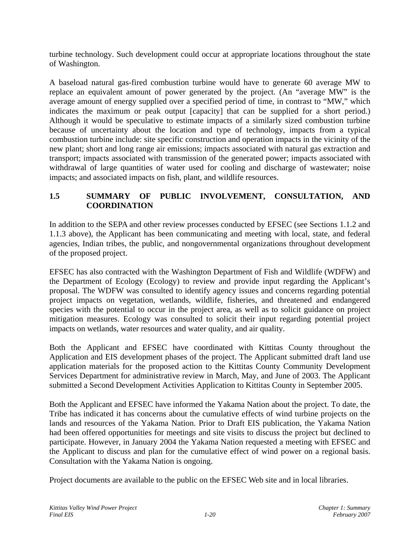turbine technology. Such development could occur at appropriate locations throughout the state of Washington.

A baseload natural gas-fired combustion turbine would have to generate 60 average MW to replace an equivalent amount of power generated by the project. (An "average MW" is the average amount of energy supplied over a specified period of time, in contrast to "MW," which indicates the maximum or peak output [capacity] that can be supplied for a short period.) Although it would be speculative to estimate impacts of a similarly sized combustion turbine because of uncertainty about the location and type of technology, impacts from a typical combustion turbine include: site specific construction and operation impacts in the vicinity of the new plant; short and long range air emissions; impacts associated with natural gas extraction and transport; impacts associated with transmission of the generated power; impacts associated with withdrawal of large quantities of water used for cooling and discharge of wastewater; noise impacts; and associated impacts on fish, plant, and wildlife resources.

# **1.5 SUMMARY OF PUBLIC INVOLVEMENT, CONSULTATION, AND COORDINATION**

In addition to the SEPA and other review processes conducted by EFSEC (see Sections 1.1.2 and 1.1.3 above), the Applicant has been communicating and meeting with local, state, and federal agencies, Indian tribes, the public, and nongovernmental organizations throughout development of the proposed project.

EFSEC has also contracted with the Washington Department of Fish and Wildlife (WDFW) and the Department of Ecology (Ecology) to review and provide input regarding the Applicant's proposal. The WDFW was consulted to identify agency issues and concerns regarding potential project impacts on vegetation, wetlands, wildlife, fisheries, and threatened and endangered species with the potential to occur in the project area, as well as to solicit guidance on project mitigation measures. Ecology was consulted to solicit their input regarding potential project impacts on wetlands, water resources and water quality, and air quality.

Both the Applicant and EFSEC have coordinated with Kittitas County throughout the Application and EIS development phases of the project. The Applicant submitted draft land use application materials for the proposed action to the Kittitas County Community Development Services Department for administrative review in March, May, and June of 2003. The Applicant submitted a Second Development Activities Application to Kittitas County in September 2005.

Both the Applicant and EFSEC have informed the Yakama Nation about the project. To date, the Tribe has indicated it has concerns about the cumulative effects of wind turbine projects on the lands and resources of the Yakama Nation. Prior to Draft EIS publication, the Yakama Nation had been offered opportunities for meetings and site visits to discuss the project but declined to participate. However, in January 2004 the Yakama Nation requested a meeting with EFSEC and the Applicant to discuss and plan for the cumulative effect of wind power on a regional basis. Consultation with the Yakama Nation is ongoing.

Project documents are available to the public on the EFSEC Web site and in local libraries.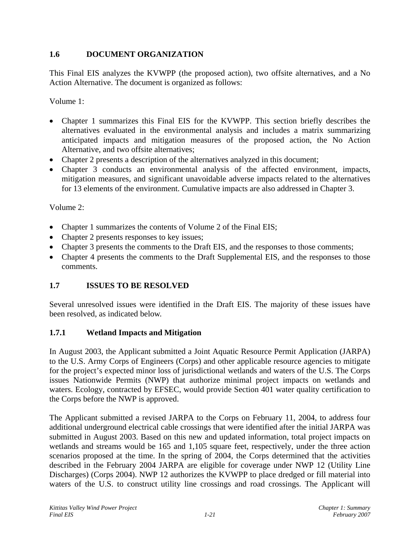# **1.6 DOCUMENT ORGANIZATION**

This Final EIS analyzes the KVWPP (the proposed action), two offsite alternatives, and a No Action Alternative. The document is organized as follows:

Volume 1:

- Chapter 1 summarizes this Final EIS for the KVWPP. This section briefly describes the alternatives evaluated in the environmental analysis and includes a matrix summarizing anticipated impacts and mitigation measures of the proposed action, the No Action Alternative, and two offsite alternatives;
- Chapter 2 presents a description of the alternatives analyzed in this document;
- Chapter 3 conducts an environmental analysis of the affected environment, impacts, mitigation measures, and significant unavoidable adverse impacts related to the alternatives for 13 elements of the environment. Cumulative impacts are also addressed in Chapter 3.

Volume 2:

- Chapter 1 summarizes the contents of Volume 2 of the Final EIS;
- Chapter 2 presents responses to key issues;
- Chapter 3 presents the comments to the Draft EIS, and the responses to those comments;
- Chapter 4 presents the comments to the Draft Supplemental EIS, and the responses to those comments.

# **1.7 ISSUES TO BE RESOLVED**

Several unresolved issues were identified in the Draft EIS. The majority of these issues have been resolved, as indicated below.

#### **1.7.1 Wetland Impacts and Mitigation**

In August 2003, the Applicant submitted a Joint Aquatic Resource Permit Application (JARPA) to the U.S. Army Corps of Engineers (Corps) and other applicable resource agencies to mitigate for the project's expected minor loss of jurisdictional wetlands and waters of the U.S. The Corps issues Nationwide Permits (NWP) that authorize minimal project impacts on wetlands and waters. Ecology, contracted by EFSEC, would provide Section 401 water quality certification to the Corps before the NWP is approved.

The Applicant submitted a revised JARPA to the Corps on February 11, 2004, to address four additional underground electrical cable crossings that were identified after the initial JARPA was submitted in August 2003. Based on this new and updated information, total project impacts on wetlands and streams would be 165 and 1,105 square feet, respectively, under the three action scenarios proposed at the time. In the spring of 2004, the Corps determined that the activities described in the February 2004 JARPA are eligible for coverage under NWP 12 (Utility Line Discharges) (Corps 2004). NWP 12 authorizes the KVWPP to place dredged or fill material into waters of the U.S. to construct utility line crossings and road crossings. The Applicant will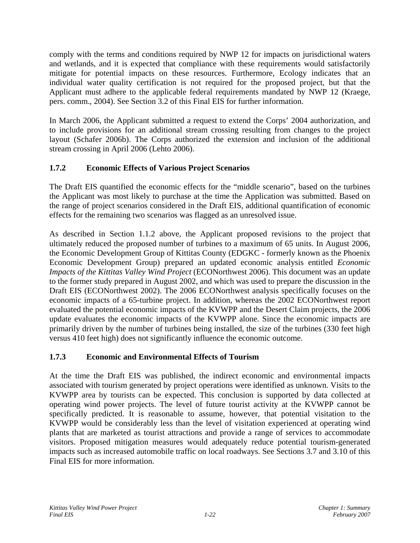comply with the terms and conditions required by NWP 12 for impacts on jurisdictional waters and wetlands, and it is expected that compliance with these requirements would satisfactorily mitigate for potential impacts on these resources. Furthermore, Ecology indicates that an individual water quality certification is not required for the proposed project, but that the Applicant must adhere to the applicable federal requirements mandated by NWP 12 (Kraege, pers. comm., 2004). See Section 3.2 of this Final EIS for further information.

In March 2006, the Applicant submitted a request to extend the Corps' 2004 authorization, and to include provisions for an additional stream crossing resulting from changes to the project layout (Schafer 2006b). The Corps authorized the extension and inclusion of the additional stream crossing in April 2006 (Lehto 2006).

# **1.7.2 Economic Effects of Various Project Scenarios**

The Draft EIS quantified the economic effects for the "middle scenario", based on the turbines the Applicant was most likely to purchase at the time the Application was submitted. Based on the range of project scenarios considered in the Draft EIS, additional quantification of economic effects for the remaining two scenarios was flagged as an unresolved issue.

As described in Section 1.1.2 above, the Applicant proposed revisions to the project that ultimately reduced the proposed number of turbines to a maximum of 65 units. In August 2006, the Economic Development Group of Kittitas County (EDGKC - formerly known as the Phoenix Economic Development Group) prepared an updated economic analysis entitled *Economic Impacts of the Kittitas Valley Wind Project* (ECONorthwest 2006). This document was an update to the former study prepared in August 2002, and which was used to prepare the discussion in the Draft EIS (ECONorthwest 2002). The 2006 ECONorthwest analysis specifically focuses on the economic impacts of a 65-turbine project. In addition, whereas the 2002 ECONorthwest report evaluated the potential economic impacts of the KVWPP and the Desert Claim projects, the 2006 update evaluates the economic impacts of the KVWPP alone. Since the economic impacts are primarily driven by the number of turbines being installed, the size of the turbines (330 feet high versus 410 feet high) does not significantly influence the economic outcome.

# **1.7.3 Economic and Environmental Effects of Tourism**

At the time the Draft EIS was published, the indirect economic and environmental impacts associated with tourism generated by project operations were identified as unknown. Visits to the KVWPP area by tourists can be expected. This conclusion is supported by data collected at operating wind power projects. The level of future tourist activity at the KVWPP cannot be specifically predicted. It is reasonable to assume, however, that potential visitation to the KVWPP would be considerably less than the level of visitation experienced at operating wind plants that are marketed as tourist attractions and provide a range of services to accommodate visitors. Proposed mitigation measures would adequately reduce potential tourism-generated impacts such as increased automobile traffic on local roadways. See Sections 3.7 and 3.10 of this Final EIS for more information.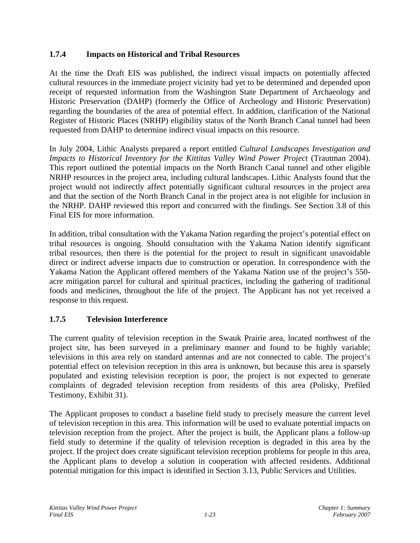## **1.7.4 Impacts on Historical and Tribal Resources**

At the time the Draft EIS was published, the indirect visual impacts on potentially affected cultural resources in the immediate project vicinity had yet to be determined and depended upon receipt of requested information from the Washington State Department of Archaeology and Historic Preservation (DAHP) (formerly the Office of Archeology and Historic Preservation) regarding the boundaries of the area of potential effect. In addition, clarification of the National Register of Historic Places (NRHP) eligibility status of the North Branch Canal tunnel had been requested from DAHP to determine indirect visual impacts on this resource.

In July 2004, Lithic Analysts prepared a report entitled *Cultural Landscapes Investigation and Impacts to Historical Inventory for the Kittitas Valley Wind Power Project* (Trautman 2004). This report outlined the potential impacts on the North Branch Canal tunnel and other eligible NRHP resources in the project area, including cultural landscapes. Lithic Analysts found that the project would not indirectly affect potentially significant cultural resources in the project area and that the section of the North Branch Canal in the project area is not eligible for inclusion in the NRHP. DAHP reviewed this report and concurred with the findings. See Section 3.8 of this Final EIS for more information.

In addition, tribal consultation with the Yakama Nation regarding the project's potential effect on tribal resources is ongoing. Should consultation with the Yakama Nation identify significant tribal resources, then there is the potential for the project to result in significant unavoidable direct or indirect adverse impacts due to construction or operation. In correspondence with the Yakama Nation the Applicant offered members of the Yakama Nation use of the project's 550 acre mitigation parcel for cultural and spiritual practices, including the gathering of traditional foods and medicines, throughout the life of the project. The Applicant has not yet received a response to this request.

# **1.7.5 Television Interference**

The current quality of television reception in the Swauk Prairie area, located northwest of the project site, has been surveyed in a preliminary manner and found to be highly variable; televisions in this area rely on standard antennas and are not connected to cable. The project's potential effect on television reception in this area is unknown, but because this area is sparsely populated and existing television reception is poor, the project is not expected to generate complaints of degraded television reception from residents of this area (Polisky, Prefiled Testimony, Exhibit 31).

The Applicant proposes to conduct a baseline field study to precisely measure the current level of television reception in this area. This information will be used to evaluate potential impacts on television reception from the project. After the project is built, the Applicant plans a follow-up field study to determine if the quality of television reception is degraded in this area by the project. If the project does create significant television reception problems for people in this area, the Applicant plans to develop a solution in cooperation with affected residents. Additional potential mitigation for this impact is identified in Section 3.13, Public Services and Utilities.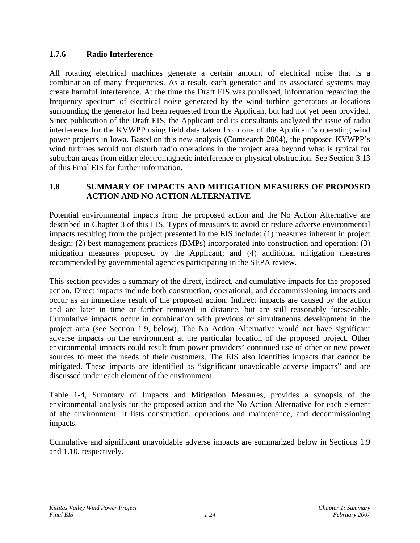### **1.7.6 Radio Interference**

All rotating electrical machines generate a certain amount of electrical noise that is a combination of many frequencies. As a result, each generator and its associated systems may create harmful interference. At the time the Draft EIS was published, information regarding the frequency spectrum of electrical noise generated by the wind turbine generators at locations surrounding the generator had been requested from the Applicant but had not yet been provided. Since publication of the Draft EIS, the Applicant and its consultants analyzed the issue of radio interference for the KVWPP using field data taken from one of the Applicant's operating wind power projects in Iowa. Based on this new analysis (Comsearch 2004), the proposed KVWPP's wind turbines would not disturb radio operations in the project area beyond what is typical for suburban areas from either electromagnetic interference or physical obstruction. See Section 3.13 of this Final EIS for further information.

### **1.8 SUMMARY OF IMPACTS AND MITIGATION MEASURES OF PROPOSED ACTION AND NO ACTION ALTERNATIVE**

Potential environmental impacts from the proposed action and the No Action Alternative are described in Chapter 3 of this EIS. Types of measures to avoid or reduce adverse environmental impacts resulting from the project presented in the EIS include: (1) measures inherent in project design; (2) best management practices (BMPs) incorporated into construction and operation; (3) mitigation measures proposed by the Applicant; and (4) additional mitigation measures recommended by governmental agencies participating in the SEPA review.

This section provides a summary of the direct, indirect, and cumulative impacts for the proposed action. Direct impacts include both construction, operational, and decommissioning impacts and occur as an immediate result of the proposed action. Indirect impacts are caused by the action and are later in time or farther removed in distance, but are still reasonably foreseeable. Cumulative impacts occur in combination with previous or simultaneous development in the project area (see Section 1.9, below). The No Action Alternative would not have significant adverse impacts on the environment at the particular location of the proposed project. Other environmental impacts could result from power providers' continued use of other or new power sources to meet the needs of their customers. The EIS also identifies impacts that cannot be mitigated. These impacts are identified as "significant unavoidable adverse impacts" and are discussed under each element of the environment.

Table 1-4, Summary of Impacts and Mitigation Measures, provides a synopsis of the environmental analysis for the proposed action and the No Action Alternative for each element of the environment. It lists construction, operations and maintenance, and decommissioning impacts.

Cumulative and significant unavoidable adverse impacts are summarized below in Sections 1.9 and 1.10, respectively.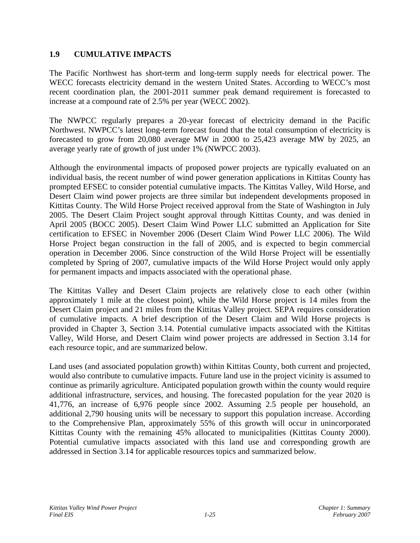### **1.9 CUMULATIVE IMPACTS**

The Pacific Northwest has short-term and long-term supply needs for electrical power. The WECC forecasts electricity demand in the western United States. According to WECC's most recent coordination plan, the 2001-2011 summer peak demand requirement is forecasted to increase at a compound rate of 2.5% per year (WECC 2002).

The NWPCC regularly prepares a 20-year forecast of electricity demand in the Pacific Northwest. NWPCC's latest long-term forecast found that the total consumption of electricity is forecasted to grow from 20,080 average MW in 2000 to 25,423 average MW by 2025, an average yearly rate of growth of just under 1% (NWPCC 2003).

Although the environmental impacts of proposed power projects are typically evaluated on an individual basis, the recent number of wind power generation applications in Kittitas County has prompted EFSEC to consider potential cumulative impacts. The Kittitas Valley, Wild Horse, and Desert Claim wind power projects are three similar but independent developments proposed in Kittitas County. The Wild Horse Project received approval from the State of Washington in July 2005. The Desert Claim Project sought approval through Kittitas County, and was denied in April 2005 (BOCC 2005). Desert Claim Wind Power LLC submitted an Application for Site certification to EFSEC in November 2006 (Desert Claim Wind Power LLC 2006). The Wild Horse Project began construction in the fall of 2005, and is expected to begin commercial operation in December 2006. Since construction of the Wild Horse Project will be essentially completed by Spring of 2007, cumulative impacts of the Wild Horse Project would only apply for permanent impacts and impacts associated with the operational phase.

The Kittitas Valley and Desert Claim projects are relatively close to each other (within approximately 1 mile at the closest point), while the Wild Horse project is 14 miles from the Desert Claim project and 21 miles from the Kittitas Valley project. SEPA requires consideration of cumulative impacts. A brief description of the Desert Claim and Wild Horse projects is provided in Chapter 3, Section 3.14. Potential cumulative impacts associated with the Kittitas Valley, Wild Horse, and Desert Claim wind power projects are addressed in Section 3.14 for each resource topic, and are summarized below.

Land uses (and associated population growth) within Kittitas County, both current and projected, would also contribute to cumulative impacts. Future land use in the project vicinity is assumed to continue as primarily agriculture. Anticipated population growth within the county would require additional infrastructure, services, and housing. The forecasted population for the year 2020 is 41,776, an increase of 6,976 people since 2002. Assuming 2.5 people per household, an additional 2,790 housing units will be necessary to support this population increase. According to the Comprehensive Plan, approximately 55% of this growth will occur in unincorporated Kittitas County with the remaining 45% allocated to municipalities (Kittitas County 2000). Potential cumulative impacts associated with this land use and corresponding growth are addressed in Section 3.14 for applicable resources topics and summarized below.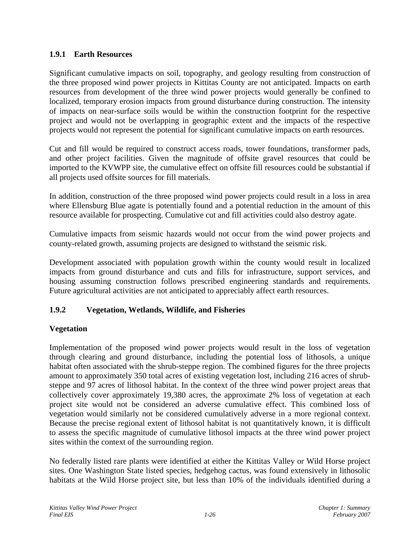### **1.9.1 Earth Resources**

Significant cumulative impacts on soil, topography, and geology resulting from construction of the three proposed wind power projects in Kittitas County are not anticipated. Impacts on earth resources from development of the three wind power projects would generally be confined to localized, temporary erosion impacts from ground disturbance during construction. The intensity of impacts on near-surface soils would be within the construction footprint for the respective project and would not be overlapping in geographic extent and the impacts of the respective projects would not represent the potential for significant cumulative impacts on earth resources.

Cut and fill would be required to construct access roads, tower foundations, transformer pads, and other project facilities. Given the magnitude of offsite gravel resources that could be imported to the KVWPP site, the cumulative effect on offsite fill resources could be substantial if all projects used offsite sources for fill materials.

In addition, construction of the three proposed wind power projects could result in a loss in area where Ellensburg Blue agate is potentially found and a potential reduction in the amount of this resource available for prospecting. Cumulative cut and fill activities could also destroy agate.

Cumulative impacts from seismic hazards would not occur from the wind power projects and county-related growth, assuming projects are designed to withstand the seismic risk.

Development associated with population growth within the county would result in localized impacts from ground disturbance and cuts and fills for infrastructure, support services, and housing assuming construction follows prescribed engineering standards and requirements. Future agricultural activities are not anticipated to appreciably affect earth resources.

# **1.9.2 Vegetation, Wetlands, Wildlife, and Fisheries**

# **Vegetation**

Implementation of the proposed wind power projects would result in the loss of vegetation through clearing and ground disturbance, including the potential loss of lithosols, a unique habitat often associated with the shrub-steppe region. The combined figures for the three projects amount to approximately 350 total acres of existing vegetation lost, including 216 acres of shrubsteppe and 97 acres of lithosol habitat. In the context of the three wind power project areas that collectively cover approximately 19,380 acres, the approximate 2% loss of vegetation at each project site would not be considered an adverse cumulative effect. This combined loss of vegetation would similarly not be considered cumulatively adverse in a more regional context. Because the precise regional extent of lithosol habitat is not quantitatively known, it is difficult to assess the specific magnitude of cumulative lithosol impacts at the three wind power project sites within the context of the surrounding region.

No federally listed rare plants were identified at either the Kittitas Valley or Wild Horse project sites. One Washington State listed species, hedgehog cactus, was found extensively in lithosolic habitats at the Wild Horse project site, but less than 10% of the individuals identified during a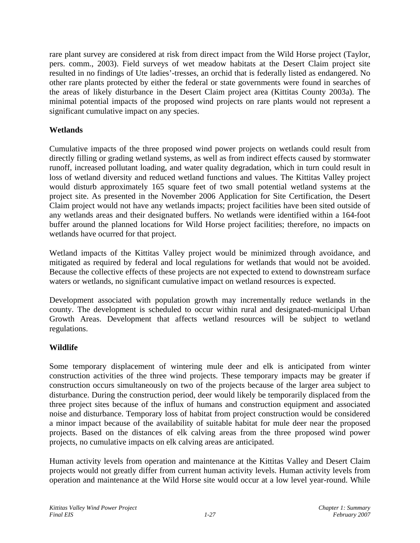rare plant survey are considered at risk from direct impact from the Wild Horse project (Taylor, pers. comm., 2003). Field surveys of wet meadow habitats at the Desert Claim project site resulted in no findings of Ute ladies'-tresses, an orchid that is federally listed as endangered. No other rare plants protected by either the federal or state governments were found in searches of the areas of likely disturbance in the Desert Claim project area (Kittitas County 2003a). The minimal potential impacts of the proposed wind projects on rare plants would not represent a significant cumulative impact on any species.

## **Wetlands**

Cumulative impacts of the three proposed wind power projects on wetlands could result from directly filling or grading wetland systems, as well as from indirect effects caused by stormwater runoff, increased pollutant loading, and water quality degradation, which in turn could result in loss of wetland diversity and reduced wetland functions and values. The Kittitas Valley project would disturb approximately 165 square feet of two small potential wetland systems at the project site. As presented in the November 2006 Application for Site Certification, the Desert Claim project would not have any wetlands impacts; project facilities have been sited outside of any wetlands areas and their designated buffers. No wetlands were identified within a 164-foot buffer around the planned locations for Wild Horse project facilities; therefore, no impacts on wetlands have ocurred for that project.

Wetland impacts of the Kittitas Valley project would be minimized through avoidance, and mitigated as required by federal and local regulations for wetlands that would not be avoided. Because the collective effects of these projects are not expected to extend to downstream surface waters or wetlands, no significant cumulative impact on wetland resources is expected.

Development associated with population growth may incrementally reduce wetlands in the county. The development is scheduled to occur within rural and designated-municipal Urban Growth Areas. Development that affects wetland resources will be subject to wetland regulations.

# **Wildlife**

Some temporary displacement of wintering mule deer and elk is anticipated from winter construction activities of the three wind projects. These temporary impacts may be greater if construction occurs simultaneously on two of the projects because of the larger area subject to disturbance. During the construction period, deer would likely be temporarily displaced from the three project sites because of the influx of humans and construction equipment and associated noise and disturbance. Temporary loss of habitat from project construction would be considered a minor impact because of the availability of suitable habitat for mule deer near the proposed projects. Based on the distances of elk calving areas from the three proposed wind power projects, no cumulative impacts on elk calving areas are anticipated.

Human activity levels from operation and maintenance at the Kittitas Valley and Desert Claim projects would not greatly differ from current human activity levels. Human activity levels from operation and maintenance at the Wild Horse site would occur at a low level year-round. While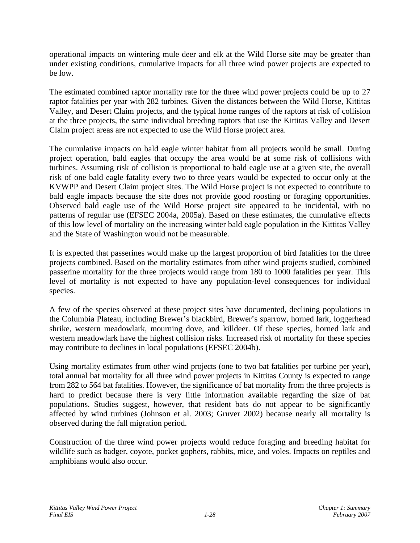operational impacts on wintering mule deer and elk at the Wild Horse site may be greater than under existing conditions, cumulative impacts for all three wind power projects are expected to be low.

The estimated combined raptor mortality rate for the three wind power projects could be up to 27 raptor fatalities per year with 282 turbines. Given the distances between the Wild Horse, Kittitas Valley, and Desert Claim projects, and the typical home ranges of the raptors at risk of collision at the three projects, the same individual breeding raptors that use the Kittitas Valley and Desert Claim project areas are not expected to use the Wild Horse project area.

The cumulative impacts on bald eagle winter habitat from all projects would be small. During project operation, bald eagles that occupy the area would be at some risk of collisions with turbines. Assuming risk of collision is proportional to bald eagle use at a given site, the overall risk of one bald eagle fatality every two to three years would be expected to occur only at the KVWPP and Desert Claim project sites. The Wild Horse project is not expected to contribute to bald eagle impacts because the site does not provide good roosting or foraging opportunities. Observed bald eagle use of the Wild Horse project site appeared to be incidental, with no patterns of regular use (EFSEC 2004a, 2005a). Based on these estimates, the cumulative effects of this low level of mortality on the increasing winter bald eagle population in the Kittitas Valley and the State of Washington would not be measurable.

It is expected that passerines would make up the largest proportion of bird fatalities for the three projects combined. Based on the mortality estimates from other wind projects studied, combined passerine mortality for the three projects would range from 180 to 1000 fatalities per year. This level of mortality is not expected to have any population-level consequences for individual species.

A few of the species observed at these project sites have documented, declining populations in the Columbia Plateau, including Brewer's blackbird, Brewer's sparrow, horned lark, loggerhead shrike, western meadowlark, mourning dove, and killdeer. Of these species, horned lark and western meadowlark have the highest collision risks. Increased risk of mortality for these species may contribute to declines in local populations (EFSEC 2004b).

Using mortality estimates from other wind projects (one to two bat fatalities per turbine per year), total annual bat mortality for all three wind power projects in Kittitas County is expected to range from 282 to 564 bat fatalities. However, the significance of bat mortality from the three projects is hard to predict because there is very little information available regarding the size of bat populations. Studies suggest, however, that resident bats do not appear to be significantly affected by wind turbines (Johnson et al. 2003; Gruver 2002) because nearly all mortality is observed during the fall migration period.

Construction of the three wind power projects would reduce foraging and breeding habitat for wildlife such as badger, coyote, pocket gophers, rabbits, mice, and voles. Impacts on reptiles and amphibians would also occur.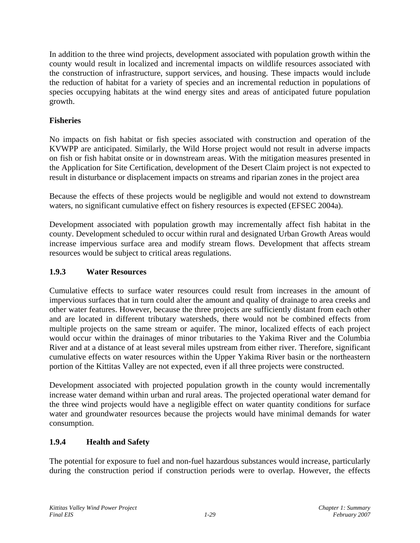In addition to the three wind projects, development associated with population growth within the county would result in localized and incremental impacts on wildlife resources associated with the construction of infrastructure, support services, and housing. These impacts would include the reduction of habitat for a variety of species and an incremental reduction in populations of species occupying habitats at the wind energy sites and areas of anticipated future population growth.

## **Fisheries**

No impacts on fish habitat or fish species associated with construction and operation of the KVWPP are anticipated. Similarly, the Wild Horse project would not result in adverse impacts on fish or fish habitat onsite or in downstream areas. With the mitigation measures presented in the Application for Site Certification, development of the Desert Claim project is not expected to result in disturbance or displacement impacts on streams and riparian zones in the project area

Because the effects of these projects would be negligible and would not extend to downstream waters, no significant cumulative effect on fishery resources is expected (EFSEC 2004a).

Development associated with population growth may incrementally affect fish habitat in the county. Development scheduled to occur within rural and designated Urban Growth Areas would increase impervious surface area and modify stream flows. Development that affects stream resources would be subject to critical areas regulations.

## **1.9.3 Water Resources**

Cumulative effects to surface water resources could result from increases in the amount of impervious surfaces that in turn could alter the amount and quality of drainage to area creeks and other water features. However, because the three projects are sufficiently distant from each other and are located in different tributary watersheds, there would not be combined effects from multiple projects on the same stream or aquifer. The minor, localized effects of each project would occur within the drainages of minor tributaries to the Yakima River and the Columbia River and at a distance of at least several miles upstream from either river. Therefore, significant cumulative effects on water resources within the Upper Yakima River basin or the northeastern portion of the Kittitas Valley are not expected, even if all three projects were constructed.

Development associated with projected population growth in the county would incrementally increase water demand within urban and rural areas. The projected operational water demand for the three wind projects would have a negligible effect on water quantity conditions for surface water and groundwater resources because the projects would have minimal demands for water consumption.

#### **1.9.4 Health and Safety**

The potential for exposure to fuel and non-fuel hazardous substances would increase, particularly during the construction period if construction periods were to overlap. However, the effects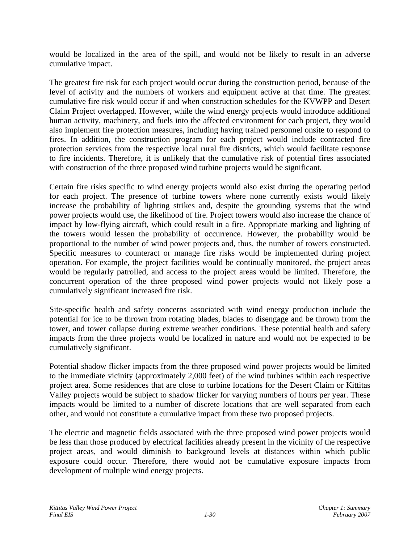would be localized in the area of the spill, and would not be likely to result in an adverse cumulative impact.

The greatest fire risk for each project would occur during the construction period, because of the level of activity and the numbers of workers and equipment active at that time. The greatest cumulative fire risk would occur if and when construction schedules for the KVWPP and Desert Claim Project overlapped. However, while the wind energy projects would introduce additional human activity, machinery, and fuels into the affected environment for each project, they would also implement fire protection measures, including having trained personnel onsite to respond to fires. In addition, the construction program for each project would include contracted fire protection services from the respective local rural fire districts, which would facilitate response to fire incidents. Therefore, it is unlikely that the cumulative risk of potential fires associated with construction of the three proposed wind turbine projects would be significant.

Certain fire risks specific to wind energy projects would also exist during the operating period for each project. The presence of turbine towers where none currently exists would likely increase the probability of lighting strikes and, despite the grounding systems that the wind power projects would use, the likelihood of fire. Project towers would also increase the chance of impact by low-flying aircraft, which could result in a fire. Appropriate marking and lighting of the towers would lessen the probability of occurrence. However, the probability would be proportional to the number of wind power projects and, thus, the number of towers constructed. Specific measures to counteract or manage fire risks would be implemented during project operation. For example, the project facilities would be continually monitored, the project areas would be regularly patrolled, and access to the project areas would be limited. Therefore, the concurrent operation of the three proposed wind power projects would not likely pose a cumulatively significant increased fire risk.

Site-specific health and safety concerns associated with wind energy production include the potential for ice to be thrown from rotating blades, blades to disengage and be thrown from the tower, and tower collapse during extreme weather conditions. These potential health and safety impacts from the three projects would be localized in nature and would not be expected to be cumulatively significant.

Potential shadow flicker impacts from the three proposed wind power projects would be limited to the immediate vicinity (approximately 2,000 feet) of the wind turbines within each respective project area. Some residences that are close to turbine locations for the Desert Claim or Kittitas Valley projects would be subject to shadow flicker for varying numbers of hours per year. These impacts would be limited to a number of discrete locations that are well separated from each other, and would not constitute a cumulative impact from these two proposed projects.

The electric and magnetic fields associated with the three proposed wind power projects would be less than those produced by electrical facilities already present in the vicinity of the respective project areas, and would diminish to background levels at distances within which public exposure could occur. Therefore, there would not be cumulative exposure impacts from development of multiple wind energy projects.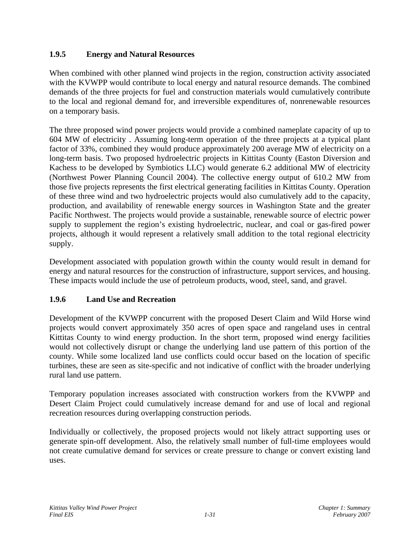# **1.9.5 Energy and Natural Resources**

When combined with other planned wind projects in the region, construction activity associated with the KVWPP would contribute to local energy and natural resource demands. The combined demands of the three projects for fuel and construction materials would cumulatively contribute to the local and regional demand for, and irreversible expenditures of, nonrenewable resources on a temporary basis.

The three proposed wind power projects would provide a combined nameplate capacity of up to 604 MW of electricity . Assuming long-term operation of the three projects at a typical plant factor of 33%, combined they would produce approximately 200 average MW of electricity on a long-term basis. Two proposed hydroelectric projects in Kittitas County (Easton Diversion and Kachess to be developed by Symbiotics LLC) would generate 6.2 additional MW of electricity (Northwest Power Planning Council 2004). The collective energy output of 610.2 MW from those five projects represents the first electrical generating facilities in Kittitas County. Operation of these three wind and two hydroelectric projects would also cumulatively add to the capacity, production, and availability of renewable energy sources in Washington State and the greater Pacific Northwest. The projects would provide a sustainable, renewable source of electric power supply to supplement the region's existing hydroelectric, nuclear, and coal or gas-fired power projects, although it would represent a relatively small addition to the total regional electricity supply.

Development associated with population growth within the county would result in demand for energy and natural resources for the construction of infrastructure, support services, and housing. These impacts would include the use of petroleum products, wood, steel, sand, and gravel.

# **1.9.6 Land Use and Recreation**

Development of the KVWPP concurrent with the proposed Desert Claim and Wild Horse wind projects would convert approximately 350 acres of open space and rangeland uses in central Kittitas County to wind energy production. In the short term, proposed wind energy facilities would not collectively disrupt or change the underlying land use pattern of this portion of the county. While some localized land use conflicts could occur based on the location of specific turbines, these are seen as site-specific and not indicative of conflict with the broader underlying rural land use pattern.

Temporary population increases associated with construction workers from the KVWPP and Desert Claim Project could cumulatively increase demand for and use of local and regional recreation resources during overlapping construction periods.

Individually or collectively, the proposed projects would not likely attract supporting uses or generate spin-off development. Also, the relatively small number of full-time employees would not create cumulative demand for services or create pressure to change or convert existing land uses.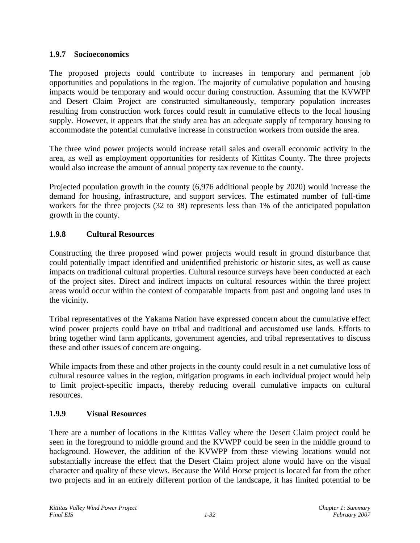### **1.9.7 Socioeconomics**

The proposed projects could contribute to increases in temporary and permanent job opportunities and populations in the region. The majority of cumulative population and housing impacts would be temporary and would occur during construction. Assuming that the KVWPP and Desert Claim Project are constructed simultaneously, temporary population increases resulting from construction work forces could result in cumulative effects to the local housing supply. However, it appears that the study area has an adequate supply of temporary housing to accommodate the potential cumulative increase in construction workers from outside the area.

The three wind power projects would increase retail sales and overall economic activity in the area, as well as employment opportunities for residents of Kittitas County. The three projects would also increase the amount of annual property tax revenue to the county.

Projected population growth in the county (6,976 additional people by 2020) would increase the demand for housing, infrastructure, and support services. The estimated number of full-time workers for the three projects (32 to 38) represents less than 1% of the anticipated population growth in the county.

# **1.9.8 Cultural Resources**

Constructing the three proposed wind power projects would result in ground disturbance that could potentially impact identified and unidentified prehistoric or historic sites, as well as cause impacts on traditional cultural properties. Cultural resource surveys have been conducted at each of the project sites. Direct and indirect impacts on cultural resources within the three project areas would occur within the context of comparable impacts from past and ongoing land uses in the vicinity.

Tribal representatives of the Yakama Nation have expressed concern about the cumulative effect wind power projects could have on tribal and traditional and accustomed use lands. Efforts to bring together wind farm applicants, government agencies, and tribal representatives to discuss these and other issues of concern are ongoing.

While impacts from these and other projects in the county could result in a net cumulative loss of cultural resource values in the region, mitigation programs in each individual project would help to limit project-specific impacts, thereby reducing overall cumulative impacts on cultural resources.

# **1.9.9 Visual Resources**

There are a number of locations in the Kittitas Valley where the Desert Claim project could be seen in the foreground to middle ground and the KVWPP could be seen in the middle ground to background. However, the addition of the KVWPP from these viewing locations would not substantially increase the effect that the Desert Claim project alone would have on the visual character and quality of these views. Because the Wild Horse project is located far from the other two projects and in an entirely different portion of the landscape, it has limited potential to be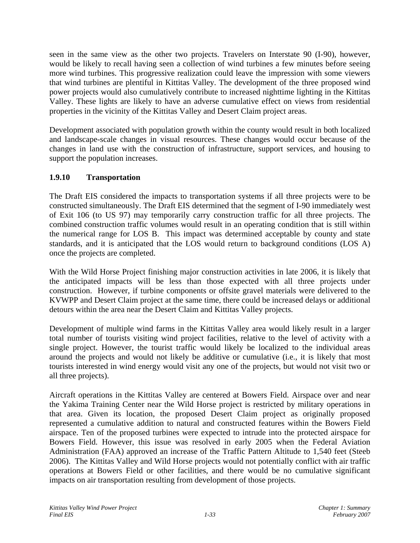seen in the same view as the other two projects. Travelers on Interstate 90 (I-90), however, would be likely to recall having seen a collection of wind turbines a few minutes before seeing more wind turbines. This progressive realization could leave the impression with some viewers that wind turbines are plentiful in Kittitas Valley. The development of the three proposed wind power projects would also cumulatively contribute to increased nighttime lighting in the Kittitas Valley. These lights are likely to have an adverse cumulative effect on views from residential properties in the vicinity of the Kittitas Valley and Desert Claim project areas.

Development associated with population growth within the county would result in both localized and landscape-scale changes in visual resources. These changes would occur because of the changes in land use with the construction of infrastructure, support services, and housing to support the population increases.

# **1.9.10 Transportation**

The Draft EIS considered the impacts to transportation systems if all three projects were to be constructed simultaneously. The Draft EIS determined that the segment of I-90 immediately west of Exit 106 (to US 97) may temporarily carry construction traffic for all three projects. The combined construction traffic volumes would result in an operating condition that is still within the numerical range for LOS B. This impact was determined acceptable by county and state standards, and it is anticipated that the LOS would return to background conditions (LOS A) once the projects are completed.

With the Wild Horse Project finishing major construction activities in late 2006, it is likely that the anticipated impacts will be less than those expected with all three projects under construction. However, if turbine components or offsite gravel materials were delivered to the KVWPP and Desert Claim project at the same time, there could be increased delays or additional detours within the area near the Desert Claim and Kittitas Valley projects.

Development of multiple wind farms in the Kittitas Valley area would likely result in a larger total number of tourists visiting wind project facilities, relative to the level of activity with a single project. However, the tourist traffic would likely be localized to the individual areas around the projects and would not likely be additive or cumulative (i.e., it is likely that most tourists interested in wind energy would visit any one of the projects, but would not visit two or all three projects).

Aircraft operations in the Kittitas Valley are centered at Bowers Field. Airspace over and near the Yakima Training Center near the Wild Horse project is restricted by military operations in that area. Given its location, the proposed Desert Claim project as originally proposed represented a cumulative addition to natural and constructed features within the Bowers Field airspace. Ten of the proposed turbines were expected to intrude into the protected airspace for Bowers Field. However, this issue was resolved in early 2005 when the Federal Aviation Administration (FAA) approved an increase of the Traffic Pattern Altitude to 1,540 feet (Steeb 2006). The Kittitas Valley and Wild Horse projects would not potentially conflict with air traffic operations at Bowers Field or other facilities, and there would be no cumulative significant impacts on air transportation resulting from development of those projects.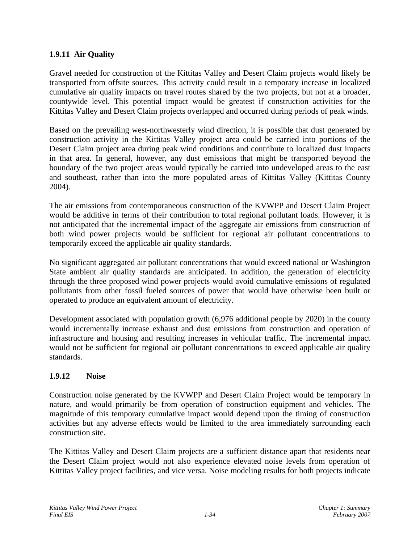# **1.9.11 Air Quality**

Gravel needed for construction of the Kittitas Valley and Desert Claim projects would likely be transported from offsite sources. This activity could result in a temporary increase in localized cumulative air quality impacts on travel routes shared by the two projects, but not at a broader, countywide level. This potential impact would be greatest if construction activities for the Kittitas Valley and Desert Claim projects overlapped and occurred during periods of peak winds.

Based on the prevailing west-northwesterly wind direction, it is possible that dust generated by construction activity in the Kittitas Valley project area could be carried into portions of the Desert Claim project area during peak wind conditions and contribute to localized dust impacts in that area. In general, however, any dust emissions that might be transported beyond the boundary of the two project areas would typically be carried into undeveloped areas to the east and southeast, rather than into the more populated areas of Kittitas Valley (Kittitas County 2004).

The air emissions from contemporaneous construction of the KVWPP and Desert Claim Project would be additive in terms of their contribution to total regional pollutant loads. However, it is not anticipated that the incremental impact of the aggregate air emissions from construction of both wind power projects would be sufficient for regional air pollutant concentrations to temporarily exceed the applicable air quality standards.

No significant aggregated air pollutant concentrations that would exceed national or Washington State ambient air quality standards are anticipated. In addition, the generation of electricity through the three proposed wind power projects would avoid cumulative emissions of regulated pollutants from other fossil fueled sources of power that would have otherwise been built or operated to produce an equivalent amount of electricity.

Development associated with population growth (6,976 additional people by 2020) in the county would incrementally increase exhaust and dust emissions from construction and operation of infrastructure and housing and resulting increases in vehicular traffic. The incremental impact would not be sufficient for regional air pollutant concentrations to exceed applicable air quality standards.

#### **1.9.12 Noise**

Construction noise generated by the KVWPP and Desert Claim Project would be temporary in nature, and would primarily be from operation of construction equipment and vehicles. The magnitude of this temporary cumulative impact would depend upon the timing of construction activities but any adverse effects would be limited to the area immediately surrounding each construction site.

The Kittitas Valley and Desert Claim projects are a sufficient distance apart that residents near the Desert Claim project would not also experience elevated noise levels from operation of Kittitas Valley project facilities, and vice versa. Noise modeling results for both projects indicate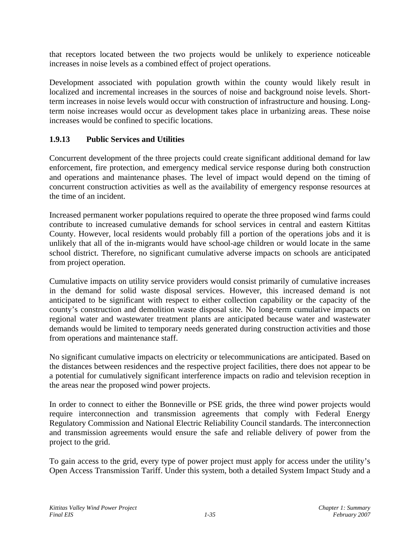that receptors located between the two projects would be unlikely to experience noticeable increases in noise levels as a combined effect of project operations.

Development associated with population growth within the county would likely result in localized and incremental increases in the sources of noise and background noise levels. Shortterm increases in noise levels would occur with construction of infrastructure and housing. Longterm noise increases would occur as development takes place in urbanizing areas. These noise increases would be confined to specific locations.

# **1.9.13 Public Services and Utilities**

Concurrent development of the three projects could create significant additional demand for law enforcement, fire protection, and emergency medical service response during both construction and operations and maintenance phases. The level of impact would depend on the timing of concurrent construction activities as well as the availability of emergency response resources at the time of an incident.

Increased permanent worker populations required to operate the three proposed wind farms could contribute to increased cumulative demands for school services in central and eastern Kittitas County. However, local residents would probably fill a portion of the operations jobs and it is unlikely that all of the in-migrants would have school-age children or would locate in the same school district. Therefore, no significant cumulative adverse impacts on schools are anticipated from project operation.

Cumulative impacts on utility service providers would consist primarily of cumulative increases in the demand for solid waste disposal services. However, this increased demand is not anticipated to be significant with respect to either collection capability or the capacity of the county's construction and demolition waste disposal site. No long-term cumulative impacts on regional water and wastewater treatment plants are anticipated because water and wastewater demands would be limited to temporary needs generated during construction activities and those from operations and maintenance staff.

No significant cumulative impacts on electricity or telecommunications are anticipated. Based on the distances between residences and the respective project facilities, there does not appear to be a potential for cumulatively significant interference impacts on radio and television reception in the areas near the proposed wind power projects.

In order to connect to either the Bonneville or PSE grids, the three wind power projects would require interconnection and transmission agreements that comply with Federal Energy Regulatory Commission and National Electric Reliability Council standards. The interconnection and transmission agreements would ensure the safe and reliable delivery of power from the project to the grid.

To gain access to the grid, every type of power project must apply for access under the utility's Open Access Transmission Tariff. Under this system, both a detailed System Impact Study and a